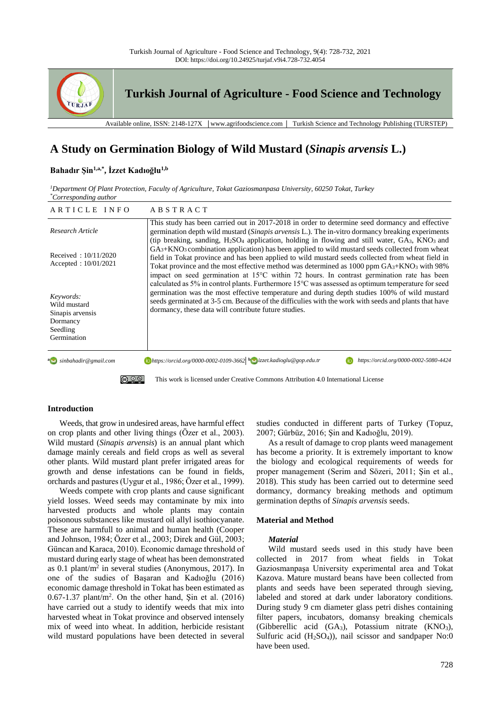

# **A Study on Germination Biology of Wild Mustard (***Sinapis arvensis* **L.)**

# **Bahadır Şin1,a,\* , İzzet Kadıoğlu1,b**

*<sup>1</sup>Department Of Plant Protection, Faculty of Agriculture, Tokat Gaziosmanpasa University, 60250 Tokat, Turkey \*Corresponding author*

| ARTICLE INFO                                                                         | ABSTRACT                                                                                                                                                                                                                                                                                                                                                                                                                                                                                                   |  |  |  |
|--------------------------------------------------------------------------------------|------------------------------------------------------------------------------------------------------------------------------------------------------------------------------------------------------------------------------------------------------------------------------------------------------------------------------------------------------------------------------------------------------------------------------------------------------------------------------------------------------------|--|--|--|
| Research Article                                                                     | This study has been carried out in 2017-2018 in order to determine seed dormancy and effective<br>germination depth wild mustard (Sinapis arvensis L.). The in-vitro dormancy breaking experiments<br>(tip breaking, sanding, H <sub>2</sub> SO <sub>4</sub> application, holding in flowing and still water, GA <sub>3</sub> , KNO <sub>3</sub> and                                                                                                                                                       |  |  |  |
| Received: $10/11/2020$<br>Accepted : $10/01/2021$                                    | $GA_3+KNO_3$ combination application) has been applied to wild mustard seeds collected from wheat<br>field in Tokat province and has been applied to wild mustard seeds collected from wheat field in<br>Tokat province and the most effective method was determined as $1000$ ppm $GA_3+KNO_3$ with 98%<br>impact on seed germination at 15°C within 72 hours. In contrast germination rate has been<br>calculated as 5% in control plants. Furthermore 15°C was assessed as optimum temperature for seed |  |  |  |
| Keywords:<br>Wild mustard<br>Sinapis arvensis<br>Dormancy<br>Seedling<br>Germination | germination was the most effective temperature and during depth studies 100% of wild mustard<br>seeds germinated at 3-5 cm. Because of the difficulies with the work with seeds and plants that have<br>dormancy, these data will contribute future studies.                                                                                                                                                                                                                                               |  |  |  |
| a sinbahadir@gmail.com                                                               | $\Box$ https://orcid.org/0000-0002-0109-3662 $\Box$ izzet.kadioglu@gop.edu.tr<br>https://orcid.org/0000-0002-5080-4424                                                                                                                                                                                                                                                                                                                                                                                     |  |  |  |
| $\circledcirc$ $\circledcirc$                                                        | This work is licensed under Creative Commons Attribution 4.0 International License                                                                                                                                                                                                                                                                                                                                                                                                                         |  |  |  |

# **Introduction**

Weeds, that grow in undesired areas, have harmful effect on crop plants and other living things (Özer et al., 2003). Wild mustard (*Sinapis arvensis*) is an annual plant which damage mainly cereals and field crops as well as several other plants. Wild mustard plant prefer irrigated areas for growth and dense infestations can be found in fields, orchards and pastures (Uygur et al., 1986; Özer et al., 1999).

Weeds compete with crop plants and cause significant yield losses. Weed seeds may contaminate by mix into harvested products and whole plants may contain poisonous substances like mustard oil allyl isothiocyanate. These are harmfull to animal and human health (Cooper and Johnson, 1984; Özer et al., 2003; Direk and Gül, 2003; Güncan and Karaca, 2010). Economic damage threshold of mustard during early stage of wheat has been demonstrated as 0.1 plant/ $m<sup>2</sup>$  in several studies (Anonymous, 2017). In one of the sudies of Başaran and Kadıoğlu (2016) economic damage threshold in Tokat has been estimated as  $0.67 - 1.37$  plant/m<sup>2</sup>. On the other hand, Şin et al. (2016) have carried out a study to identify weeds that mix into harvested wheat in Tokat province and observed intensely mix of weed into wheat. In addition, herbicide resistant wild mustard populations have been detected in several

studies conducted in different parts of Turkey (Topuz, 2007; Gürbüz, 2016; Şin and Kadıoğlu, 2019).

As a result of damage to crop plants weed management has become a priority. It is extremely important to know the biology and ecological requirements of weeds for proper management (Serim and Sözeri, 2011; Şin et al., 2018). This study has been carried out to determine seed dormancy, dormancy breaking methods and optimum germination depths of *Sinapis arvensis* seeds.

# **Material and Method**

#### *Material*

Wild mustard seeds used in this study have been collected in 2017 from wheat fields in Tokat Gaziosmanpaşa University experimental area and Tokat Kazova. Mature mustard beans have been collected from plants and seeds have been seperated through sieving, labeled and stored at dark under laboratory conditions. During study 9 cm diameter glass petri dishes containing filter papers, incubators, domansy breaking chemicals (Gibberellic acid  $(GA_3)$ , Potassium nitrate  $(KNO_3)$ , Sulfuric acid  $(H<sub>2</sub>SO<sub>4</sub>)$ , nail scissor and sandpaper No:0 have been used.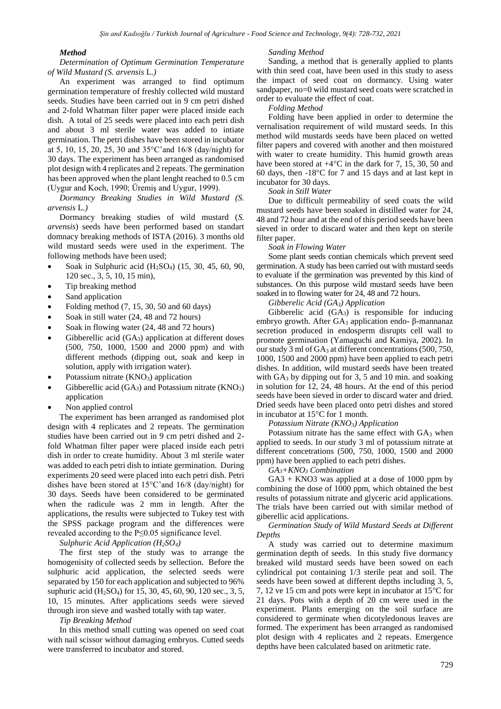## *Method*

## *Determination of Optimum Germination Temperature of Wild Mustard (S. arvensis* L.*)*

An experiment was arranged to find optimum germination temperature of freshly collected wild mustard seeds. Studies have been carried out in 9 cm petri dished and 2-fold Whatman filter paper were placed inside each dish. A total of 25 seeds were placed into each petri dish and about 3 ml sterile water was added to intiate germination. The petri dishes have been stored in incubator at 5, 10, 15, 20, 25, 30 and 35°C'and 16/8 (day/night) for 30 days. The experiment has been arranged as randomised plot design with 4 replicates and 2 repeats. The germination has been approved when the plant lenght reached to 0.5 cm (Uygur and Koch, 1990; Üremiş and Uygur, 1999).

*Dormancy Breaking Studies in Wild Mustard (S. arvensis* L*.)* 

Dormancy breaking studies of wild mustard (*S. arvensis*) seeds have been performed based on standart domnacy breaking methods of ISTA (2016). 3 months old wild mustard seeds were used in the experiment. The following methods have been used;

- Soak in Sulphuric acid (H2SO4) (15, 30, 45, 60, 90, 120 sec., 3, 5, 10, 15 min),
- Tip breaking method
- Sand application
- Folding method (7, 15, 30, 50 and 60 days)
- Soak in still water (24, 48 and 72 hours)
- Soak in flowing water (24, 48 and 72 hours)
- Gibberellic acid  $(GA_3)$  application at different doses (500, 750, 1000, 1500 and 2000 ppm) and with different methods (dipping out, soak and keep in solution, apply with irrigation water).
- Potassium nitrate  $(KNO<sub>3</sub>)$  application
- Gibberellic acid  $(GA_3)$  and Potassium nitrate  $(KNO_3)$ application
- Non applied control

The experiment has been arranged as randomised plot design with 4 replicates and 2 repeats. The germination studies have been carried out in 9 cm petri dished and 2 fold Whatman filter paper were placed inside each petri dish in order to create humidity. About 3 ml sterile water was added to each petri dish to intiate germination. During experiments 20 seed were placed into each petri dish. Petri dishes have been stored at 15°C'and 16/8 (day/night) for 30 days. Seeds have been considered to be germinated when the radicule was 2 mm in length. After the applications, the results were subjected to Tukey test with the SPSS package program and the differences were revealed according to the P≤0.05 significance level.

*Sulphuric Acid Application (H2SO4)*

The first step of the study was to arrange the homogenisity of collected seeds by sellection. Before the sulphuric acid application, the selected seeds were separated by 150 for each application and subjected to 96% suphuric acid (H<sub>2</sub>SO<sub>4</sub>) for 15, 30, 45, 60, 90, 120 sec., 3, 5, 10, 15 minutes. After applications seeds were sieved through iron sieve and washed totally with tap water.

## *Tip Breaking Method*

In this method small cutting was opened on seed coat with nail scissor without damaging embryos. Cutted seeds were transferred to incubator and stored.

#### *Sanding Method*

Sanding, a method that is generally applied to plants with thin seed coat, have been used in this study to asess the impact of seed coat on dormancy. Using water sandpaper, no=0 wild mustard seed coats were scratched in order to evaluate the effect of coat.

#### *Folding Method*

Folding have been applied in order to determine the vernalisation requirement of wild mustard seeds. In this method wild mustards seeds have been placed on wetted filter papers and covered with another and then moistured with water to create humidity. This humid growth areas have been stored at  $+4^{\circ}$ C in the dark for 7, 15, 30, 50 and 60 days, then -18°C for 7 and 15 days and at last kept in incubator for 30 days.

*Soak in Still Water*

Due to difficult permeability of seed coats the wild mustard seeds have been soaked in distilled water for 24, 48 and 72 hour and at the end of this period seeds have been sieved in order to discard water and then kept on sterile filter paper.

*Soak in Flowing Water*

Some plant seeds contian chemicals which prevent seed germination. A study has been carried out with mustard seeds to evaluate if the germination was prevented by this kind of substances. On this purpose wild mustard seeds have been soaked in to flowing water for 24, 48 and 72 hours.

*Gibberelic Acid (GA3) Application*

Gibberelic acid  $(GA_3)$  is responsible for inducing embryo growth. After  $G$ A<sub>3</sub> application endo- β-mannanaz secretion produced in endosperm disrupts cell wall to promote germination (Yamaguchi and Kamiya, 2002). In our study 3 ml of GA<sup>3</sup> at different concentrations (500, 750, 1000, 1500 and 2000 ppm) have been applied to each petri dishes. In addition, wild mustard seeds have been treated with GA<sub>3</sub> by dipping out for 3, 5 and 10 min. and soaking in solution for 12, 24, 48 hours. At the end of this period seeds have been sieved in order to discard water and dried. Dried seeds have been placed onto petri dishes and stored in incubator at 15°C for 1 month.

*Potassium Nitrate (KNO3) Application*

Potassium nitrate has the same effect with  $GA_3$  when applied to seeds. In our study 3 ml of potassium nitrate at different concetrations (500, 750, 1000, 1500 and 2000 ppm) have been applied to each petri dishes.

*GA3+KNO<sup>3</sup> Combination*

GA3 + KNO3 was applied at a dose of 1000 ppm by combining the dose of 1000 ppm, which obtained the best results of potassium nitrate and glyceric acid applications. The trials have been carried out with similar method of giberellic acid applications.

*Germination Study of Wild Mustard Seeds at Different Depths*

A study was carried out to determine maximum germination depth of seeds. In this study five dormancy breaked wild mustard seeds have been sowed on each cylindrical pot containing 1/3 sterile peat and soil. The seeds have been sowed at different depths including 3, 5, 7, 12 ve 15 cm and pots were kept in incubator at 15°C for 21 days. Pots with a depth of 20 cm were used in the experiment. Plants emerging on the soil surface are considered to germinate when dicotyledonous leaves are formed. The experiment has been arranged as randomised plot design with 4 replicates and 2 repeats. Emergence depths have been calculated based on aritmetic rate.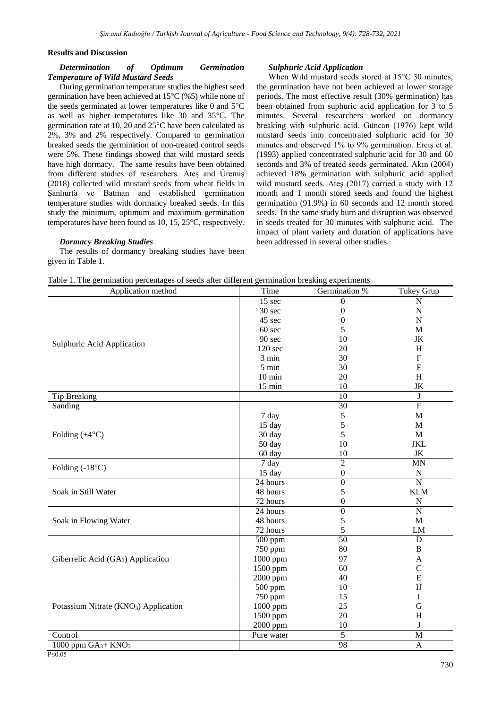## **Results and Discussion**

## *Determination of Optimum Germination Temperature of Wild Mustard Seeds*

During germination temperature studies the highest seed germination have been achieved at 15°C (%5) while none of the seeds germinated at lower temperatures like 0 and 5°C as well as higher temperatures like 30 and 35°C. The germination rate at 10, 20 and 25°C have been calculated as 2%, 3% and 2% respectively. Compared to germination breaked seeds the germination of non-treated control seeds were 5%. These findings showed that wild mustard seeds have high dormacy. The same results have been obtained from different studies of researchers. Ateş and Üremiş (2018) collected wild mustard seeds from wheat fields in Şanlıurfa ve Batman and established germination temperature studies with dormancy breaked seeds. In this study the minimum, optimum and maximum germination temperatures have been found as 10, 15, 25°C, respectively.

#### *Dormacy Breaking Studies*

The results of dormancy breaking studies have been given in Table 1.

#### *Sulphuric Acid Application*

When Wild mustard seeds stored at 15°C 30 minutes, the germination have not been achieved at lower storage periods. The most effective result (30% germination) has been obtained from suphuric acid application for 3 to 5 minutes. Several researchers worked on dormancy breaking with sulphuric acid. Güncan (1976) kept wild mustard seeds into concentrated sulphuric acid for 30 minutes and observed 1% to 9% germination. Erciş et al. (1993) applied concentrated sulphuric acid for 30 and 60 seconds and 3% of treated seeds germinated. Akın (2004) achieved 18% germination with sulphuric acid applied wild mustard seeds. Ateş (2017) carried a study with 12 month and 1 month stored seeds and found the highest germination (91.9%) in 60 seconds and 12 month stored seeds. In the same study burn and disruption was observed in seeds treated for 30 minutes with sulphuric acid. The impact of plant variety and duration of applications have been addressed in several other studies.

|  |  |  | Table 1. The germination percentages of seeds after different germination breaking experiments |  |  |
|--|--|--|------------------------------------------------------------------------------------------------|--|--|
|  |  |  |                                                                                                |  |  |

| rable 1. The germination percentages or seeds arier unterent germination breaking experiments<br>Application method | Time                  | Germination %    | Tukey Grup             |
|---------------------------------------------------------------------------------------------------------------------|-----------------------|------------------|------------------------|
|                                                                                                                     | $15 \text{ sec}$      | $\boldsymbol{0}$ | $\mathbf N$            |
|                                                                                                                     | 30 sec                | $\boldsymbol{0}$ | $\mathbf N$            |
|                                                                                                                     | 45 sec                | $\boldsymbol{0}$ | $\mathbf N$            |
|                                                                                                                     | 60 sec                | 5                | M                      |
|                                                                                                                     | 90 sec                | 10               | JK                     |
| Sulphuric Acid Application                                                                                          | 120 <sub>sec</sub>    | 20               | H                      |
|                                                                                                                     | 3 min                 | 30               | $\mathbf F$            |
|                                                                                                                     | $5 \text{ min}$       | 30               | $\mathbf{F}$           |
|                                                                                                                     | $10 \text{ min}$      | 20               | H                      |
|                                                                                                                     | $15$ min              | 10               | JK                     |
| <b>Tip Breaking</b>                                                                                                 |                       | 10               | J                      |
| Sanding                                                                                                             |                       | 30               | $\overline{F}$         |
|                                                                                                                     | 7 day                 | $\overline{5}$   | M                      |
|                                                                                                                     | 15 day                | 5                | M                      |
| Folding $(+4^{\circ}C)$                                                                                             | 30 day                | 5                | M                      |
|                                                                                                                     | 50 day                | 10               | <b>JKL</b>             |
|                                                                                                                     | 60 day                | 10               | $\rm JK$               |
| Folding $(-18^{\circ}C)$                                                                                            | 7 day                 | $\overline{2}$   | $\overline{\text{MN}}$ |
|                                                                                                                     | 15 day                | $\boldsymbol{0}$ | ${\bf N}$              |
|                                                                                                                     | 24 hours              | $\overline{0}$   | $\overline{N}$         |
| Soak in Still Water                                                                                                 | 48 hours              | 5                | <b>KLM</b>             |
|                                                                                                                     | 72 hours              | $\boldsymbol{0}$ | N                      |
|                                                                                                                     | $\overline{24}$ hours | $\boldsymbol{0}$ | $\overline{N}$         |
| Soak in Flowing Water                                                                                               | 48 hours              | 5                | M                      |
|                                                                                                                     | 72 hours              | 5                | LM                     |
|                                                                                                                     | $\overline{500}$ ppm  | 50               | $\mathbf D$            |
|                                                                                                                     | 750 ppm               | 80               | B                      |
| Giberrelic Acid (GA <sub>3</sub> ) Application                                                                      | 1000 ppm              | 97               | A                      |
|                                                                                                                     | 1500 ppm              | 60               | $\mathcal{C}$          |
|                                                                                                                     | 2000 ppm              | 40               | ${\bf E}$              |
|                                                                                                                     | 500 ppm               | 10               | I                      |
|                                                                                                                     | 750 ppm               | 15               | $\mathbf I$            |
| Potassium Nitrate (KNO <sub>3</sub> ) Application                                                                   | 1000 ppm              | 25               | G                      |
|                                                                                                                     | 1500 ppm              | 20               | H                      |
|                                                                                                                     | 2000 ppm              | 10               | J                      |
| Control                                                                                                             | Pure water            | 5                | $\mathbf M$            |
| 1000 ppm $GA_3 + \overline{KNO_3}$                                                                                  |                       | $\overline{98}$  | A                      |

P≤0.05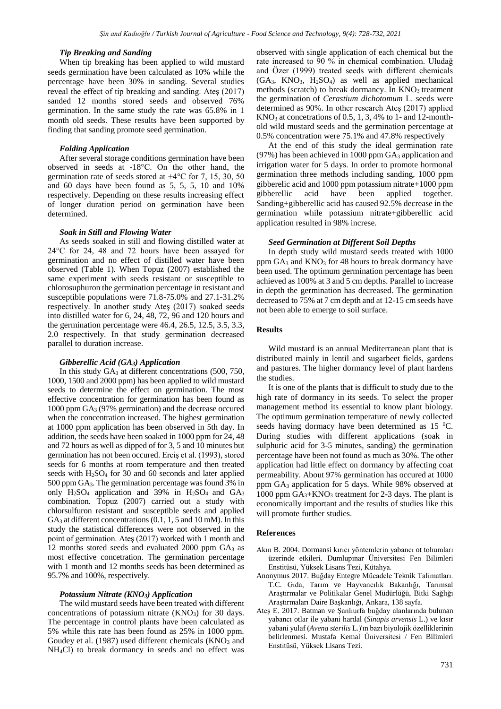#### *Tip Breaking and Sanding*

When tip breaking has been applied to wild mustard seeds germination have been calculated as 10% while the percentage have been 30% in sanding. Several studies reveal the effect of tip breaking and sanding. Ateş (2017) sanded 12 months stored seeds and observed 76% germination. In the same study the rate was 65.8% in 1 month old seeds. These results have been supported by finding that sanding promote seed germination.

#### *Folding Application*

After several storage conditions germination have been observed in seeds at -18°C. On the other hand, the germination rate of seeds stored at  $+4^{\circ}$ C for 7, 15, 30, 50 and 60 days have been found as 5, 5, 5, 10 and 10% respectively. Depending on these results increasing effect of longer duration period on germination have been determined.

## *Soak in Still and Flowing Water*

As seeds soaked in still and flowing distilled water at 24°C for 24, 48 and 72 hours have been assayed for germination and no effect of distilled water have been observed (Table 1). When Topuz (2007) established the same experiment with seeds resistant or susceptible to chlorosuphuron the germination percentage in resistant and susceptible populations were 71.8-75.0% and 27.1-31.2% respectively. In another study Ateş (2017) soaked seeds into distilled water for 6, 24, 48, 72, 96 and 120 hours and the germination percentage were 46.4, 26.5, 12.5, 3.5, 3.3, 2.0 respectively. In that study germination decreased parallel to duration increase.

#### *Gibberellic Acid (GA3) Application*

In this study GA<sub>3</sub> at different concentrations (500, 750, 1000, 1500 and 2000 ppm) has been applied to wild mustard seeds to determine the effect on germination. The most effective concentration for germination has been found as 1000 ppm GA<sup>3</sup> (97% germination) and the decrease occured when the concentration increased. The highest germination at 1000 ppm application has been observed in 5th day. In addition, the seeds have been soaked in 1000 ppm for 24, 48 and 72 hours as well as dipped of for 3, 5 and 10 minutes but germination has not been occured. Erciş et al. (1993), stored seeds for 6 months at room temperature and then treated seeds with H2SO<sup>4</sup> for 30 and 60 seconds and later applied 500 ppm GA3. The germination percentage was found 3% in only H2SO<sup>4</sup> application and 39% in H2SO4 and GA<sup>3</sup> combination. Topuz (2007) carried out a study with chlorsulfuron resistant and susceptible seeds and applied GA<sub>3</sub> at different concentrations (0.1, 1, 5 and 10 mM). In this study the statistical differences were not observed in the point of germination. Ateş (2017) worked with 1 month and 12 months stored seeds and evaluated 2000 ppm  $GA<sub>3</sub>$  as most effective concetration. The germination percentage with 1 month and 12 months seeds has been determined as 95.7% and 100%, respectively.

#### *Potassium Nitrate (KNO3) Application*

The wild mustard seeds have been treated with different concentrations of potassium nitrate  $(KNO<sub>3</sub>)$  for 30 days. The percentage in control plants have been calculated as 5% while this rate has been found as 25% in 1000 ppm. Goudey et al.  $(1987)$  used different chemicals  $(KNO<sub>3</sub>$  and NH4Cl) to break dormancy in seeds and no effect was observed with single application of each chemical but the rate increased to 90 % in chemical combination. Uludağ and Özer (1999) treated seeds with different chemicals  $(GA_3, KNO_3, H_2SO_4)$  as well as applied mechanical methods (scratch) to break dormancy. In  $KNO<sub>3</sub>$  treatment the germination of *Cerastium dichotomum* L. seeds were determined as 90%. In other research Ateş (2017) applied  $KNO<sub>3</sub>$  at concetrations of 0.5, 1, 3, 4% to 1- and 12-monthold wild mustard seeds and the germination percentage at 0.5% concentration were 75.1% and 47.8% respectively

At the end of this study the ideal germination rate  $(97%)$  has been achieved in 1000 ppm  $GA_3$  application and irrigation water for 5 days. In order to promote hormonal germination three methods including sanding, 1000 ppm gibberelic acid and 1000 ppm potassium nitrate+1000 ppm gibberellic acid have been applied together. Sanding+gibberellic acid has caused 92.5% decrease in the germination while potassium nitrate+gibberellic acid application resulted in 98% increse.

#### *Seed Germination at Different Soil Depths*

In depth study wild mustard seeds treated with 1000 ppm GA<sup>3</sup> and KNO<sup>3</sup> for 48 hours to break dormancy have been used. The optimum germination percentage has been achieved as 100% at 3 and 5 cm depths. Parallel to increase in depth the germination has decreased. The germination decreased to 75% at 7 cm depth and at 12-15 cm seeds have not been able to emerge to soil surface.

## **Results**

Wild mustard is an annual Mediterranean plant that is distributed mainly in lentil and sugarbeet fields, gardens and pastures. The higher dormancy level of plant hardens the studies.

It is one of the plants that is difficult to study due to the high rate of dormancy in its seeds. To select the proper management method its essential to know plant biology. The optimum germination temperature of newly collected seeds having dormacy have been determined as  $15 \degree C$ . During studies with different applications (soak in sulphuric acid for 3-5 minutes, sanding) the germination percentage have been not found as much as 30%. The other application had little effect on dormancy by affecting coat permeability. About 97% germination has occured at 1000 ppm GA<sup>3</sup> application for 5 days. While 98% observed at 1000 ppm  $GA_3+KNO_3$  treatment for 2-3 days. The plant is economically important and the results of studies like this will promote further studies.

#### **References**

- Akın B. 2004. Dormansi kırıcı yöntemlerin yabancı ot tohumları üzerinde etkileri. Dumlupınar Üniversitesi Fen Bilimleri Enstitüsü, Yüksek Lisans Tezi, Kütahya.
- Anonymus 2017. Buğday Entegre Mücadele Teknik Talimatları. T.C. Gıda, Tarım ve Hayvancılık Bakanlığı, Tarımsal Araştırmalar ve Politikalar Genel Müdürlüğü, Bitki Sağlığı Araştırmaları Daire Başkanlığı, Ankara, 138 sayfa.
- Ateş E. 2017. Batman ve Şanlıurfa buğday alanlarında bulunan yabancı otlar ile yabani hardal (*Sinapis arvensis* L.) ve kısır yabani yulaf (*Avena sterilis* L.)'ın bazı biyolojik özelliklerinin belirlenmesi. Mustafa Kemal Üniversitesi / Fen Bilimleri Enstitüsü, Yüksek Lisans Tezi.